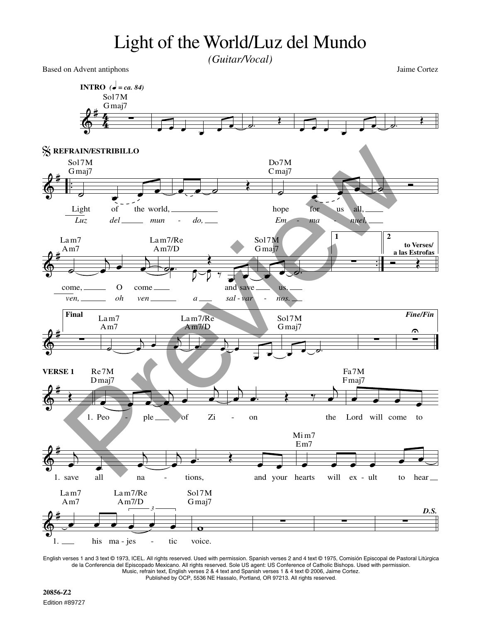## Light of the World/Luz del Mundo *(Guitar/Vocal)*

Based on Advent antiphons Jaime Cortez



English verses 1 and 3 text © 1973, ICEL. All rights reserved. Used with permission. Spanish verses 2 and 4 text © 1975, Comisión Episcopal de Pastoral Litúrgica de la Conferencia del Episcopado Mexicano. All rights reserved. Sole US agent: US Conference of Catholic Bishops. Used with permission. Music, refrain text, English verses 2 & 4 text and Spanish verses 1 & 4 text © 2006, Jaime Cortez. Published by OCP, 5536 NE Hassalo, Portland, OR 97213. All rights reserved.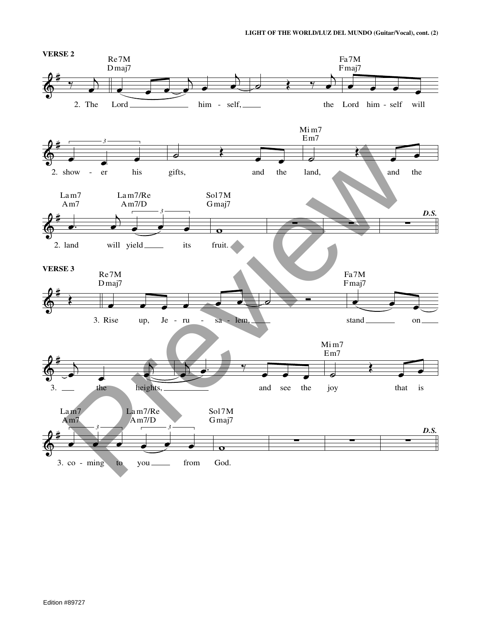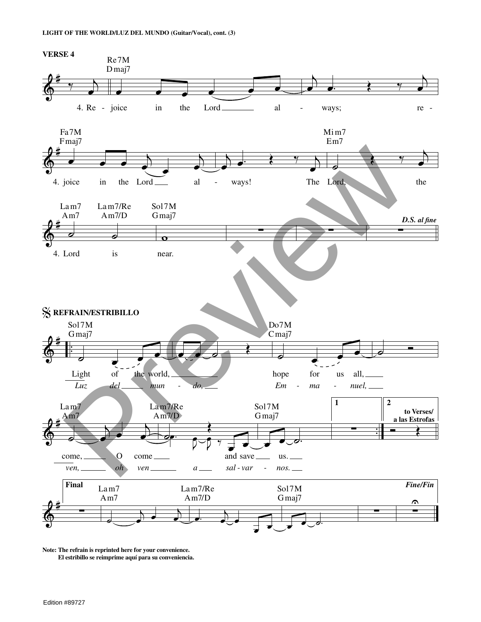

**Note: The refrain is reprinted here for your convenience. El estribillo se reimprime aquí para su conveniencia.**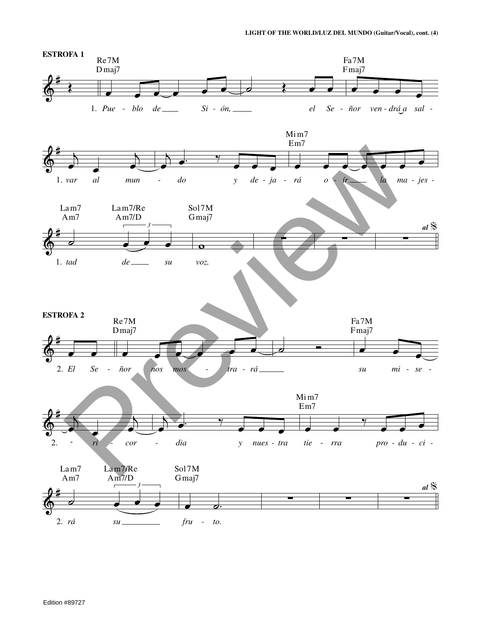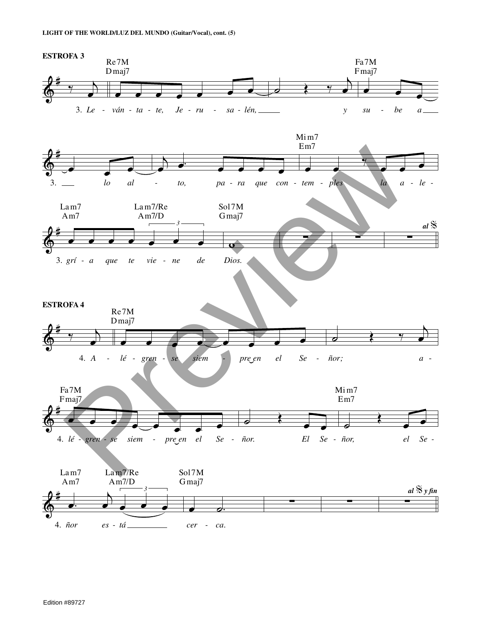